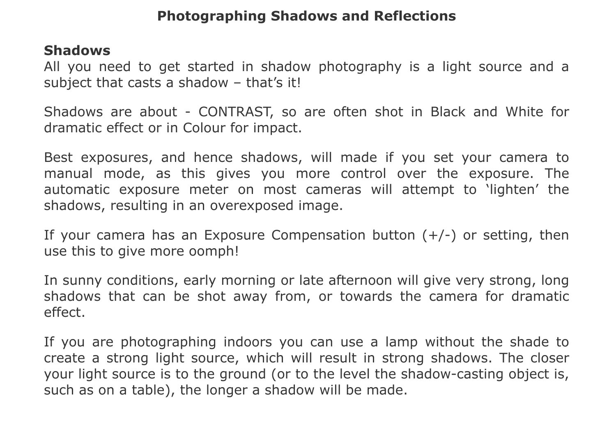## **Photographing Shadows and Reflections**

## **Shadows**

All you need to get started in shadow photography is a light source and a subject that casts a shadow - that's it!

Shadows are about - CONTRAST, so are often shot in Black and White for dramatic effect or in Colour for impact.

Best exposures, and hence shadows, will made if you set your camera to manual mode, as this gives you more control over the exposure. The automatic exposure meter on most cameras will attempt to 'lighten' the shadows, resulting in an overexposed image.

If your camera has an Exposure Compensation button  $(+/-)$  or setting, then use this to give more oomph!

In sunny conditions, early morning or late afternoon will give very strong, long shadows that can be shot away from, or towards the camera for dramatic effect.

If you are photographing indoors you can use a lamp without the shade to create a strong light source, which will result in strong shadows. The closer your light source is to the ground (or to the level the shadow-casting object is, such as on a table), the longer a shadow will be made.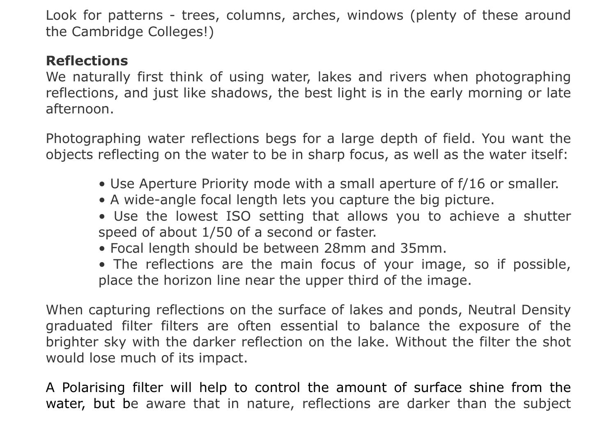Look for patterns - trees, columns, arches, windows (plenty of these around the Cambridge Colleges!)

## **Reflections**

We naturally first think of using water, lakes and rivers when photographing reflections, and just like shadows, the best light is in the early morning or late afternoon.

Photographing water reflections begs for a large depth of field. You want the objects reflecting on the water to be in sharp focus, as well as the water itself:

- Use Aperture Priority mode with a small aperture of f/16 or smaller.
- A wide-angle focal length lets you capture the big picture.
- Use the lowest ISO setting that allows you to achieve a shutter speed of about 1/50 of a second or faster.
- Focal length should be between 28mm and 35mm.
- The reflections are the main focus of your image, so if possible, place the horizon line near the upper third of the image.

When capturing reflections on the surface of lakes and ponds, Neutral Density graduated filter filters are often essential to balance the exposure of the brighter sky with the darker reflection on the lake. Without the filter the shot would lose much of its impact.

A Polarising filter will help to control the amount of surface shine from the water, but be aware that in nature, reflections are darker than the subject